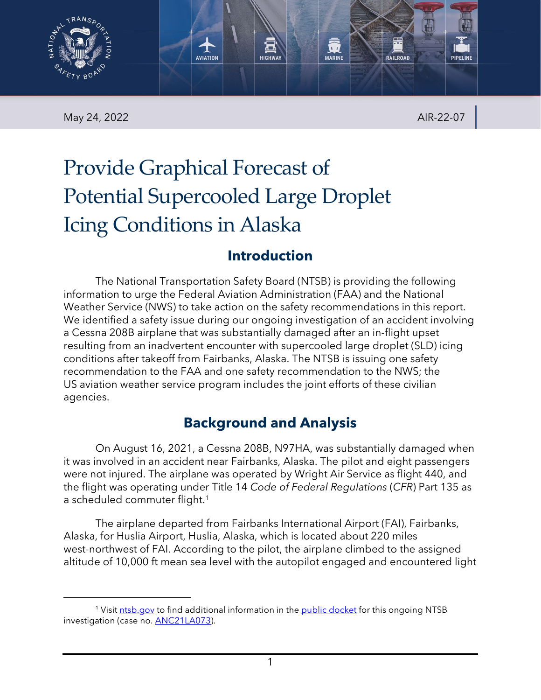

May 24, 2022 AIR-22-07

# Provide Graphical Forecast of Potential Supercooled Large Droplet Icing Conditions in Alaska

# **Introduction**

The National Transportation Safety Board (NTSB) is providing the following information to urge the Federal Aviation Administration (FAA) and the National Weather Service (NWS) to take action on the safety recommendations in this report. We identified a safety issue during our ongoing investigation of an accident involving a Cessna 208B airplane that was substantially damaged after an in-flight upset resulting from an inadvertent encounter with supercooled large droplet (SLD) icing conditions after takeoff from Fairbanks, Alaska. The NTSB is issuing one safety recommendation to the FAA and one safety recommendation to the NWS; the US aviation weather service program includes the joint efforts of these civilian agencies.

# **Background and Analysis**

On August 16, 2021, a Cessna 208B, N97HA, was substantially damaged when it was involved in an accident near Fairbanks, Alaska. The pilot and eight passengers were not injured. The airplane was operated by Wright Air Service as flight 440, and the flight was operating under Title 14 *Code of Federal Regulations* (*CFR*) Part 135 as a scheduled commuter flight.<sup>1</sup>

The airplane departed from Fairbanks International Airport (FAI), Fairbanks, Alaska, for Huslia Airport, Huslia, Alaska, which is located about 220 miles west-northwest of FAI. According to the pilot, the airplane climbed to the assigned altitude of 10,000 ft mean sea level with the autopilot engaged and encountered light

<span id="page-0-0"></span><sup>1</sup> Visit [ntsb.gov](https://www.ntsb.gov/) to find additional information in the [public docket](https://data.ntsb.gov/Docket/Forms/searchdocket) for this ongoing NTSB investigation (case no. **ANC21LA073**).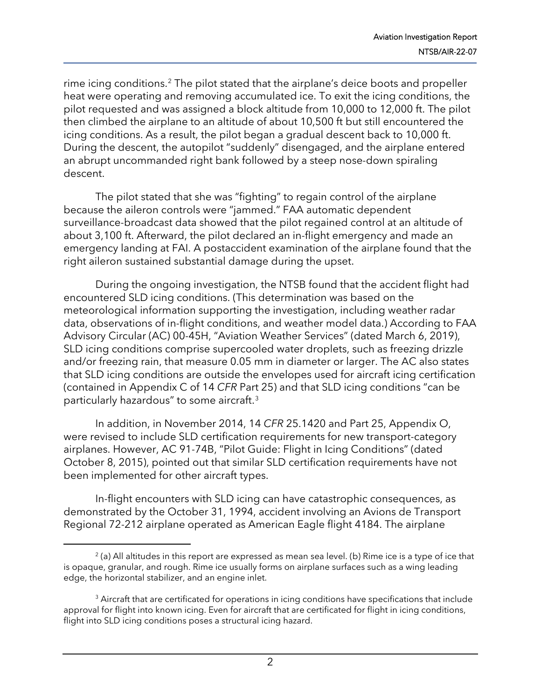rime icing conditions.<sup>[2](#page-1-0)</sup> The pilot stated that the airplane's deice boots and propeller heat were operating and removing accumulated ice. To exit the icing conditions, the pilot requested and was assigned a block altitude from 10,000 to 12,000 ft. The pilot then climbed the airplane to an altitude of about 10,500 ft but still encountered the icing conditions. As a result, the pilot began a gradual descent back to 10,000 ft. During the descent, the autopilot "suddenly" disengaged, and the airplane entered an abrupt uncommanded right bank followed by a steep nose-down spiraling descent.

The pilot stated that she was "fighting" to regain control of the airplane because the aileron controls were "jammed." FAA automatic dependent surveillance-broadcast data showed that the pilot regained control at an altitude of about 3,100 ft. Afterward, the pilot declared an in-flight emergency and made an emergency landing at FAI. A postaccident examination of the airplane found that the right aileron sustained substantial damage during the upset.

During the ongoing investigation, the NTSB found that the accident flight had encountered SLD icing conditions. (This determination was based on the meteorological information supporting the investigation, including weather radar data, observations of in-flight conditions, and weather model data.) According to FAA Advisory Circular (AC) 00-45H, "Aviation Weather Services" (dated March 6, 2019), SLD icing conditions comprise supercooled water droplets, such as freezing drizzle and/or freezing rain, that measure 0.05 mm in diameter or larger. The AC also states that SLD icing conditions are outside the envelopes used for aircraft icing certification (contained in Appendix C of 14 *CFR* Part 25) and that SLD icing conditions "can be particularly hazardous" to some aircraft.[3](#page-1-1)

In addition, in November 2014, 14 *CFR* 25.1420 and Part 25, Appendix O, were revised to include SLD certification requirements for new transport-category airplanes. However, AC 91-74B, "Pilot Guide: Flight in Icing Conditions" (dated October 8, 2015), pointed out that similar SLD certification requirements have not been implemented for other aircraft types.

In-flight encounters with SLD icing can have catastrophic consequences, as demonstrated by the October 31, 1994, accident involving an Avions de Transport Regional 72-212 airplane operated as American Eagle flight 4184. The airplane

<span id="page-1-0"></span> $^{2}$  (a) All altitudes in this report are expressed as mean sea level. (b) Rime ice is a type of ice that is opaque, granular, and rough. Rime ice usually forms on airplane surfaces such as a wing leading edge, the horizontal stabilizer, and an engine inlet.

<span id="page-1-1"></span> $3$  Aircraft that are certificated for operations in icing conditions have specifications that include approval for flight into known icing. Even for aircraft that are certificated for flight in icing conditions, flight into SLD icing conditions poses a structural icing hazard.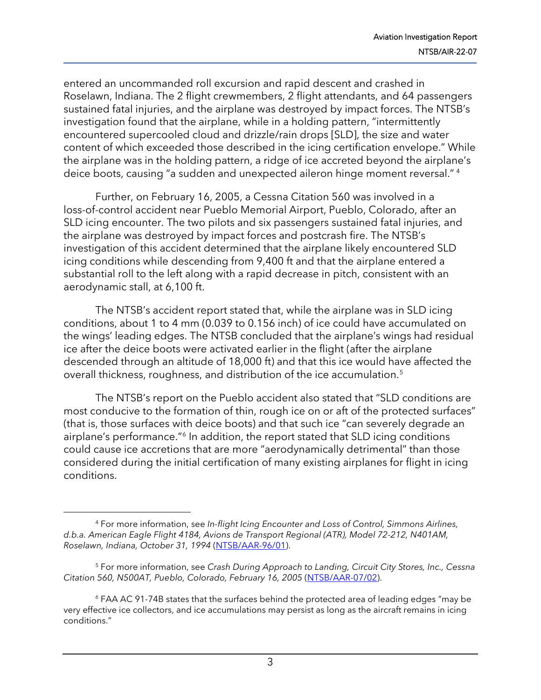entered an uncommanded roll excursion and rapid descent and crashed in Roselawn, Indiana. The 2 flight crewmembers, 2 flight attendants, and 64 passengers sustained fatal injuries, and the airplane was destroyed by impact forces. The NTSB's investigation found that the airplane, while in a holding pattern, "intermittently encountered supercooled cloud and drizzle/rain drops [SLD], the size and water content of which exceeded those described in the icing certification envelope." While the airplane was in the holding pattern, a ridge of ice accreted beyond the airplane's deice boots, causing "a sudden and unexpected aileron hinge moment reversal." [4](#page-2-0)

Further, on February 16, 2005, a Cessna Citation 560 was involved in a loss-of-control accident near Pueblo Memorial Airport, Pueblo, Colorado, after an SLD icing encounter. The two pilots and six passengers sustained fatal injuries, and the airplane was destroyed by impact forces and postcrash fire. The NTSB's investigation of this accident determined that the airplane likely encountered SLD icing conditions while descending from 9,400 ft and that the airplane entered a substantial roll to the left along with a rapid decrease in pitch, consistent with an aerodynamic stall, at 6,100 ft.

The NTSB's accident report stated that, while the airplane was in SLD icing conditions, about 1 to 4 mm (0.039 to 0.156 inch) of ice could have accumulated on the wings' leading edges. The NTSB concluded that the airplane's wings had residual ice after the deice boots were activated earlier in the flight (after the airplane descended through an altitude of 18,000 ft) and that this ice would have affected the overall thickness, roughness, and distribution of the ice accumulation.[5](#page-2-1)

The NTSB's report on the Pueblo accident also stated that "SLD conditions are most conducive to the formation of thin, rough ice on or aft of the protected surfaces" (that is, those surfaces with deice boots) and that such ice "can severely degrade an airplane's performance."[6](#page-2-2) In addition, the report stated that SLD icing conditions could cause ice accretions that are more "aerodynamically detrimental" than those considered during the initial certification of many existing airplanes for flight in icing conditions.

<span id="page-2-0"></span><sup>4</sup> For more information, see *In-flight Icing Encounter and Loss of Control, Simmons Airlines, d.b.a. American Eagle Flight 4184, Avions de Transport Regional (ATR), Model 72-212, N401AM, Roselawn, Indiana, October 31, 1994* [\(NTSB/AAR-96/01\)](https://www.ntsb.gov/investigations/AccidentReports/Reports/AAR9601.pdf).

<span id="page-2-1"></span><sup>5</sup> For more information, see *Crash During Approach to Landing, Circuit City Stores, Inc., Cessna Citation 560, N500AT, Pueblo, Colorado, February 16, 2005* [\(NTSB/AAR-07/02\)](https://www.ntsb.gov/investigations/AccidentReports/Reports/AAR0702.pdf).

<span id="page-2-2"></span> $6$  FAA AC 91-74B states that the surfaces behind the protected area of leading edges "may be very effective ice collectors, and ice accumulations may persist as long as the aircraft remains in icing conditions."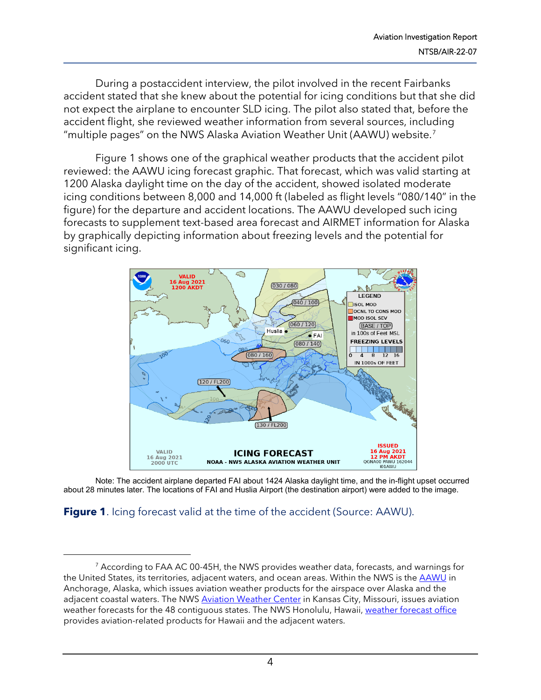During a postaccident interview, the pilot involved in the recent Fairbanks accident stated that she knew about the potential for icing conditions but that she did not expect the airplane to encounter SLD icing. The pilot also stated that, before the accident flight, she reviewed weather information from several sources, including "multiple pages" on the NWS Alaska Aviation Weather Unit (AAWU) website.[7](#page-3-0) 

Figure 1 shows one of the graphical weather products that the accident pilot reviewed: the AAWU icing forecast graphic. That forecast, which was valid starting at 1200 Alaska daylight time on the day of the accident, showed isolated moderate icing conditions between 8,000 and 14,000 ft (labeled as flight levels "080/140" in the figure) for the departure and accident locations. The AAWU developed such icing forecasts to supplement text-based area forecast and AIRMET information for Alaska by graphically depicting information about freezing levels and the potential for significant icing.



Note: The accident airplane departed FAI about 1424 Alaska daylight time, and the in-flight upset occurred about 28 minutes later. The locations of FAI and Huslia Airport (the destination airport) were added to the image.

#### **Figure 1.** Icing forecast valid at the time of the accident (Source: AAWU).

<span id="page-3-0"></span><sup>&</sup>lt;sup>7</sup> According to FAA AC 00-45H, the NWS provides weather data, forecasts, and warnings for the United States, its territories, adjacent waters, and ocean areas. Within the NWS is the [AAWU](https://www.weather.gov/aawu/) in Anchorage, Alaska, which issues aviation weather products for the airspace over Alaska and the adjacent coastal waters. The NWS [Aviation Weather Center](https://www.aviationweather.gov/) in Kansas City, Missouri, issues aviation weather forecasts for the 48 contiguous states. The NWS Honolulu, Hawaii[, weather forecast office](https://www.weather.gov/hFO/) provides aviation-related products for Hawaii and the adjacent waters.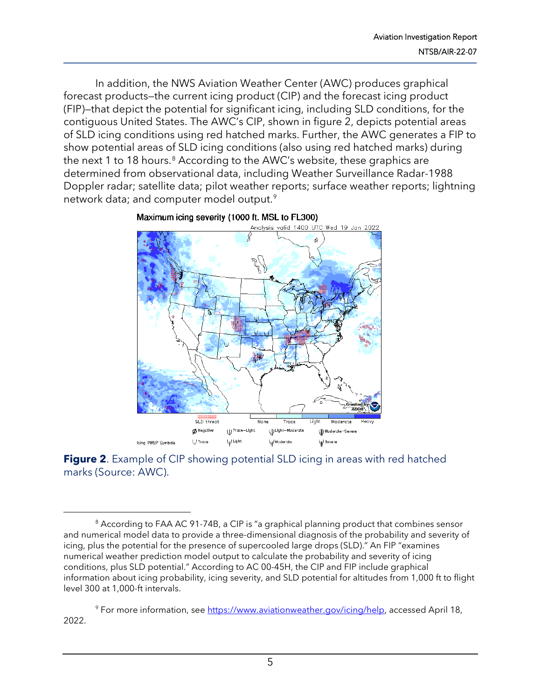In addition, the NWS Aviation Weather Center (AWC) produces graphical forecast products—the current icing product (CIP) and the forecast icing product (FIP)—that depict the potential for significant icing, including SLD conditions, for the contiguous United States. The AWC's CIP, shown in figure 2, depicts potential areas of SLD icing conditions using red hatched marks. Further, the AWC generates a FIP to show potential areas of SLD icing conditions (also using red hatched marks) during the next 1 to 1[8](#page-4-0) hours.<sup>8</sup> According to the AWC's website, these graphics are determined from observational data, including Weather Surveillance Radar-1988 Doppler radar; satellite data; pilot weather reports; surface weather reports; lightning network data; and computer model output.<sup>[9](#page-4-1)</sup>



Maximum icing severity (1000 ft. MSL to FL300)

**Figure 2.** Example of CIP showing potential SLD icing in areas with red hatched marks (Source: AWC).

<span id="page-4-1"></span><sup>9</sup> For more information, see [https://www.aviationweather.gov/icing/help,](https://www.aviationweather.gov/icing/help) accessed April 18, 2022.

<span id="page-4-0"></span><sup>&</sup>lt;sup>8</sup> According to FAA AC 91-74B, a CIP is "a graphical planning product that combines sensor and numerical model data to provide a three-dimensional diagnosis of the probability and severity of icing, plus the potential for the presence of supercooled large drops (SLD)." An FIP "examines numerical weather prediction model output to calculate the probability and severity of icing conditions, plus SLD potential." According to AC 00-45H, the CIP and FIP include graphical information about icing probability, icing severity, and SLD potential for altitudes from 1,000 ft to flight level 300 at 1,000-ft intervals.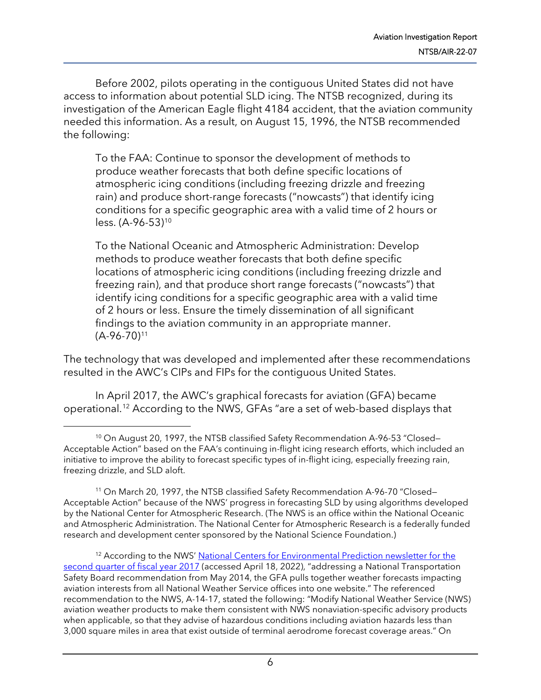Before 2002, pilots operating in the contiguous United States did not have access to information about potential SLD icing. The NTSB recognized, during its investigation of the American Eagle flight 4184 accident, that the aviation community needed this information. As a result, on August 15, 1996, the NTSB recommended the following:

To the FAA: Continue to sponsor the development of methods to produce weather forecasts that both define specific locations of atmospheric icing conditions (including freezing drizzle and freezing rain) and produce short-range forecasts ("nowcasts") that identify icing conditions for a specific geographic area with a valid time of 2 hours or less. (A-96-53)<sup>[10](#page-5-0)</sup>

To the National Oceanic and Atmospheric Administration: Develop methods to produce weather forecasts that both define specific locations of atmospheric icing conditions (including freezing drizzle and freezing rain), and that produce short range forecasts ("nowcasts") that identify icing conditions for a specific geographic area with a valid time of 2 hours or less. Ensure the timely dissemination of all significant findings to the aviation community in an appropriate manner.  $(A-96-70)^{11}$  $(A-96-70)^{11}$  $(A-96-70)^{11}$ 

The technology that was developed and implemented after these recommendations resulted in the AWC's CIPs and FIPs for the contiguous United States.

In April 2017, the AWC's graphical forecasts for aviation (GFA) became operational.[12](#page-5-2) According to the NWS, GFAs "are a set of web-based displays that

<span id="page-5-0"></span><sup>&</sup>lt;sup>10</sup> On August 20, 1997, the NTSB classified Safety Recommendation A-96-53 "Closed-Acceptable Action" based on the FAA's continuing in-flight icing research efforts, which included an initiative to improve the ability to forecast specific types of in-flight icing, especially freezing rain, freezing drizzle, and SLD aloft.

<span id="page-5-1"></span><sup>&</sup>lt;sup>11</sup> On March 20, 1997, the NTSB classified Safety Recommendation A-96-70 "Closed-Acceptable Action" because of the NWS' progress in forecasting SLD by using algorithms developed by the National Center for Atmospheric Research. (The NWS is an office within the National Oceanic and Atmospheric Administration. The National Center for Atmospheric Research is a federally funded research and development center sponsored by the National Science Foundation.)

<span id="page-5-2"></span><sup>&</sup>lt;sup>12</sup> According to the NWS' National Centers for Environmental Prediction newsletter for the [second quarter of fiscal year 2017](https://www.ncep.noaa.gov/newsletter/april2017/#AWC2017SecondGraphical) (accessed April 18, 2022), "addressing a National Transportation Safety Board recommendation from May 2014, the GFA pulls together weather forecasts impacting aviation interests from all National Weather Service offices into one website." The referenced recommendation to the NWS, A-14-17, stated the following: "Modify National Weather Service (NWS) aviation weather products to make them consistent with NWS nonaviation-specific advisory products when applicable, so that they advise of hazardous conditions including aviation hazards less than 3,000 square miles in area that exist outside of terminal aerodrome forecast coverage areas." On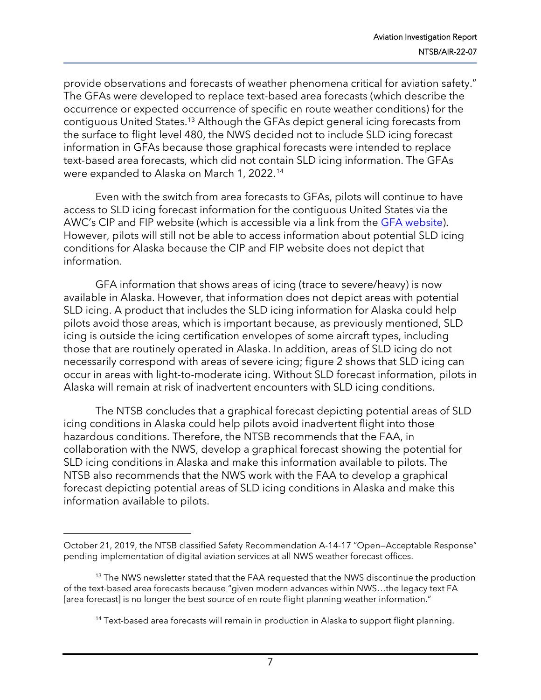provide observations and forecasts of weather phenomena critical for aviation safety." The GFAs were developed to replace text-based area forecasts (which describe the occurrence or expected occurrence of specific en route weather conditions) for the contiguous United States.[13](#page-6-0) Although the GFAs depict general icing forecasts from the surface to flight level 480, the NWS decided not to include SLD icing forecast information in GFAs because those graphical forecasts were intended to replace text-based area forecasts, which did not contain SLD icing information. The GFAs were expanded to Alaska on March 1, 2022.[14](#page-6-1)

Even with the switch from area forecasts to GFAs, pilots will continue to have access to SLD icing forecast information for the contiguous United States via the AWC's CIP and FIP website (which is accessible via a link from the [GFA website\)](https://www.aviationweather.gov/gfa). However, pilots will still not be able to access information about potential SLD icing conditions for Alaska because the CIP and FIP website does not depict that information.

GFA information that shows areas of icing (trace to severe/heavy) is now available in Alaska. However, that information does not depict areas with potential SLD icing. A product that includes the SLD icing information for Alaska could help pilots avoid those areas, which is important because, as previously mentioned, SLD icing is outside the icing certification envelopes of some aircraft types, including those that are routinely operated in Alaska. In addition, areas of SLD icing do not necessarily correspond with areas of severe icing; figure 2 shows that SLD icing can occur in areas with light-to-moderate icing. Without SLD forecast information, pilots in Alaska will remain at risk of inadvertent encounters with SLD icing conditions.

The NTSB concludes that a graphical forecast depicting potential areas of SLD icing conditions in Alaska could help pilots avoid inadvertent flight into those hazardous conditions. Therefore, the NTSB recommends that the FAA, in collaboration with the NWS, develop a graphical forecast showing the potential for SLD icing conditions in Alaska and make this information available to pilots. The NTSB also recommends that the NWS work with the FAA to develop a graphical forecast depicting potential areas of SLD icing conditions in Alaska and make this information available to pilots.

7

October 21, 2019, the NTSB classified Safety Recommendation A-14-17 "Open—Acceptable Response" pending implementation of digital aviation services at all NWS weather forecast offices.

<span id="page-6-1"></span><span id="page-6-0"></span><sup>&</sup>lt;sup>13</sup> The NWS newsletter stated that the FAA requested that the NWS discontinue the production of the text-based area forecasts because "given modern advances within NWS…the legacy text FA [area forecast] is no longer the best source of en route flight planning weather information."

<sup>&</sup>lt;sup>14</sup> Text-based area forecasts will remain in production in Alaska to support flight planning.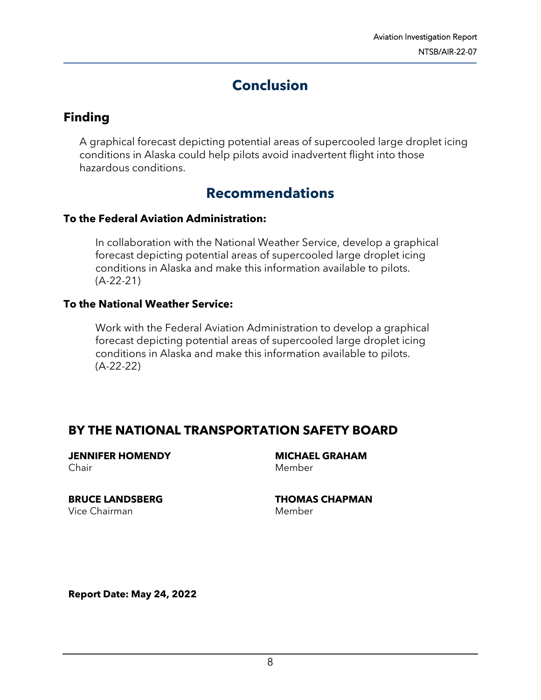# **Conclusion**

## **Finding**

A graphical forecast depicting potential areas of supercooled large droplet icing conditions in Alaska could help pilots avoid inadvertent flight into those hazardous conditions.

## **Recommendations**

#### **To the Federal Aviation Administration:**

In collaboration with the National Weather Service, develop a graphical forecast depicting potential areas of supercooled large droplet icing conditions in Alaska and make this information available to pilots. (A-22-21)

#### **To the National Weather Service:**

Work with the Federal Aviation Administration to develop a graphical forecast depicting potential areas of supercooled large droplet icing conditions in Alaska and make this information available to pilots. (A-22-22)

### **BY THE NATIONAL TRANSPORTATION SAFETY BOARD**

**JENNIFER HOMENDY** Chair

**BRUCE LANDSBERG** Vice Chairman

**MICHAEL GRAHAM** Member

**THOMAS CHAPMAN** Member

**Report Date: May 24, 2022**